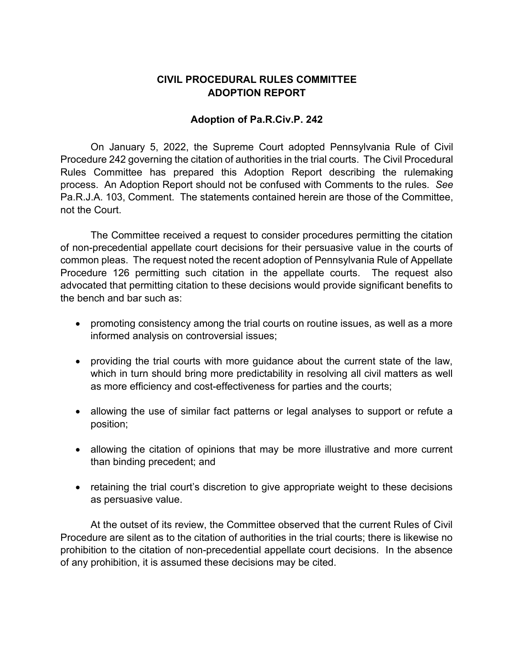## **CIVIL PROCEDURAL RULES COMMITTEE ADOPTION REPORT**

## **Adoption of Pa.R.Civ.P. 242**

On January 5, 2022, the Supreme Court adopted Pennsylvania Rule of Civil Procedure 242 governing the citation of authorities in the trial courts. The Civil Procedural Rules Committee has prepared this Adoption Report describing the rulemaking process. An Adoption Report should not be confused with Comments to the rules. *See* Pa.R.J.A. 103, Comment. The statements contained herein are those of the Committee, not the Court.

The Committee received a request to consider procedures permitting the citation of non-precedential appellate court decisions for their persuasive value in the courts of common pleas. The request noted the recent adoption of Pennsylvania Rule of Appellate Procedure 126 permitting such citation in the appellate courts. The request also advocated that permitting citation to these decisions would provide significant benefits to the bench and bar such as:

- promoting consistency among the trial courts on routine issues, as well as a more informed analysis on controversial issues;
- providing the trial courts with more guidance about the current state of the law, which in turn should bring more predictability in resolving all civil matters as well as more efficiency and cost-effectiveness for parties and the courts;
- allowing the use of similar fact patterns or legal analyses to support or refute a position;
- allowing the citation of opinions that may be more illustrative and more current than binding precedent; and
- retaining the trial court's discretion to give appropriate weight to these decisions as persuasive value.

At the outset of its review, the Committee observed that the current Rules of Civil Procedure are silent as to the citation of authorities in the trial courts; there is likewise no prohibition to the citation of non-precedential appellate court decisions. In the absence of any prohibition, it is assumed these decisions may be cited.